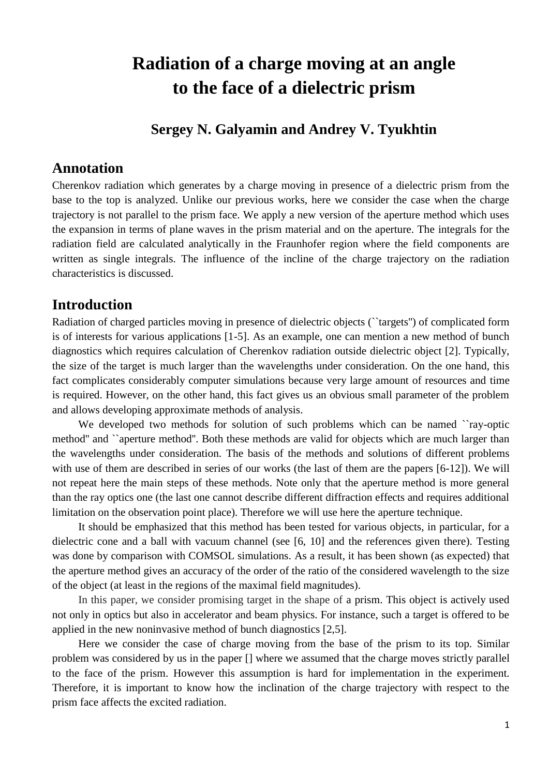# **Radiation of a charge moving at an angle to the face of a dielectric prism**

### **Sergey N. Galyamin and Andrey V. Tyukhtin**

#### **Annotation**

Cherenkov radiation which generates by a charge moving in presence of a dielectric prism from the base to the top is analyzed. Unlike our previous works, here we consider the case when the charge trajectory is not parallel to the prism face. We apply a new version of the aperture method which uses the expansion in terms of plane waves in the prism material and on the aperture. The integrals for the radiation field are calculated analytically in the Fraunhofer region where the field components are written as single integrals. The influence of the incline of the charge trajectory on the radiation characteristics is discussed.

#### **Introduction**

Radiation of charged particles moving in presence of dielectric objects (``targets'') of complicated form is of interests for various applications [1-5]. As an example, one can mention a new method of bunch diagnostics which requires calculation of Cherenkov radiation outside dielectric object [2]. Typically, the size of the target is much larger than the wavelengths under consideration. On the one hand, this fact complicates considerably computer simulations because very large amount of resources and time is required. However, on the other hand, this fact gives us an obvious small parameter of the problem and allows developing approximate methods of analysis.

We developed two methods for solution of such problems which can be named "ray-optic method'' and ``aperture method''. Both these methods are valid for objects which are much larger than the wavelengths under consideration. The basis of the methods and solutions of different problems with use of them are described in series of our works (the last of them are the papers [6-12]). We will not repeat here the main steps of these methods. Note only that the aperture method is more general than the ray optics one (the last one cannot describe different diffraction effects and requires additional limitation on the observation point place). Therefore we will use here the aperture technique.

It should be emphasized that this method has been tested for various objects, in particular, for a dielectric cone and a ball with vacuum channel (see [6, 10] and the references given there). Testing was done by comparison with COMSOL simulations. As a result, it has been shown (as expected) that the aperture method gives an accuracy of the order of the ratio of the considered wavelength to the size of the object (at least in the regions of the maximal field magnitudes).

In this paper, we consider promising target in the shape of a prism. This object is actively used not only in optics but also in accelerator and beam physics. For instance, such a target is offered to be applied in the new noninvasive method of bunch diagnostics [2,5].

Here we consider the case of charge moving from the base of the prism to its top. Similar problem was considered by us in the paper [] where we assumed that the charge moves strictly parallel to the face of the prism. However this assumption is hard for implementation in the experiment. Therefore, it is important to know how the inclination of the charge trajectory with respect to the prism face affects the excited radiation.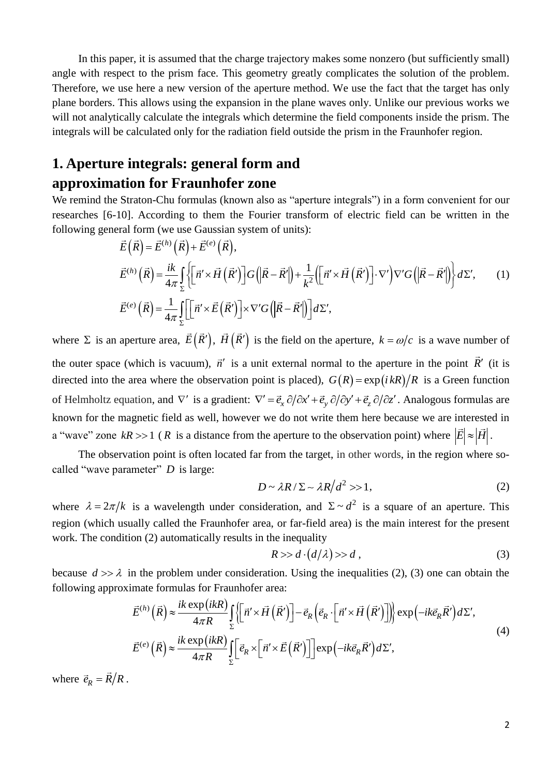In this paper, it is assumed that the charge trajectory makes some nonzero (but sufficiently small) angle with respect to the prism face. This geometry greatly complicates the solution of the problem. Therefore, we use here a new version of the aperture method. We use the fact that the target has only plane borders. This allows using the expansion in the plane waves only. Unlike our previous works we will not analytically calculate the integrals which determine the field components inside the prism. The integrals will be calculated only for the radiation field outside the prism in the Fraunhofer region.

## **1. Aperture integrals: general form and approximation for Fraunhofer zone**

We remind the Straton-Chu formulas (known also as "aperture integrals") in a form convenient for our researches [6-10]. According to them the Fourier transform of electric field can be written in the following general form (we use Gaussian system of units): rding to the<br>we use Gaus<br> $\stackrel{(h)}{(R)} + \vec{E}^{(e)}$ 31 aton-Chi formulas (Khow)<br>0]. According to them the 1<br>ral form (we use Gaussian sys<br> $\vec{E}(\vec{R}) = \vec{E}^{(h)}(\vec{R}) + \vec{E}^{(e)}(\vec{R}),$ 

real form (we use Gaussian system of units):  
\n
$$
\vec{E}(\vec{R}) = \vec{E}^{(h)}(\vec{R}) + \vec{E}^{(e)}(\vec{R}),
$$
\n
$$
\vec{E}^{(h)}(\vec{R}) = \frac{ik}{4\pi} \int_{\Sigma} \left\{ \left[ \vec{n}' \times \vec{H}(\vec{R}') \right] G\left( \left| \vec{R} - \vec{R}' \right| \right) + \frac{1}{k^2} \left( \left[ \vec{n}' \times \vec{H}(\vec{R}') \right] \cdot \nabla' \right) \nabla' G\left( \left| \vec{R} - \vec{R}' \right| \right) \right\} d\Sigma', \qquad (1)
$$
\n
$$
\vec{E}^{(e)}(\vec{R}) = \frac{1}{4\pi} \int_{\Sigma} \left[ \left[ \vec{n}' \times \vec{E}(\vec{R}') \right] \times \nabla' G\left( \left| \vec{R} - \vec{R}' \right| \right) \right] d\Sigma',
$$

where  $\Sigma$  is an aperture area,  $\vec{E}(\vec{R}')$ ,  $\vec{H}(\vec{R}')$  is the field on the aperture,  $k = \omega/c$  is a wave number of the outer space (which is vacuum),  $\vec{n}'$  is a unit external normal to the aperture in the point  $\vec{R}'$  (it is directed into the area where the observation point is placed),  $G(R) = \exp(i kR)/R$  is a Green function of Helmholtz equation, and  $\nabla'$  is a gradient:  $\nabla' = \vec{e}_x \partial/\partial x' + \vec{e}_y \partial/\partial y' + \vec{e}_z \partial/\partial z'$ . Analogous formulas are known for the magnetic field as well, however we do not write them here because we are interested in a "wave" zone  $kR \gg 1$  (*R* is a distance from the aperture to the observation point) where  $|\vec{E}| \approx |\vec{H}|$ .

The observation point is often located far from the target, in other words, in the region where socalled "wave parameter" *D* is large:

$$
D \sim \lambda R / \Sigma \sim \lambda R / d^2 >> 1,
$$
 (2)

where  $\lambda = 2\pi/k$  is a wavelength under consideration, and  $\Sigma \sim d^2$  is a square of an aperture. This region (which usually called the Fraunhofer area, or far-field area) is the main interest for the present work. The condition (2) automatically results in the inequality

$$
R \gg d \cdot (d/\lambda) \gg d \tag{3}
$$

because  $d \gg \lambda$  in the problem under consideration. Using the inequalities (2), (3) one can obtain the following approximate formulas for Fraunhofer area:<br>  $\vec{E}^{(h)}(\vec{R}) \approx \frac{i k \exp(ikR)}{4 \pi R} \int_{\Sigma} \left\{ [\vec{n}' \times \vec{H}(\vec{R}')] - \vec{e$ following approximate formulas for Fraunhofer area:<br>  $\vec{E}^{(h)}(\vec{R}) \approx \frac{ik \exp(ikR)}{4 \pi R} \iint_{\vec{R}'} |\vec{n}' \times \vec{H}(\vec{R}')$ *i*<br>*ik* exp(*ikR*<br><u>*ik* exp(*ikR*</u>

in the problem under consideration. Using the inequalities (2), (3) one can obtain the  
mate formulas for Fraunhofer area:  

$$
\vec{E}^{(h)}(\vec{R}) \approx \frac{ik \exp(ikR)}{4\pi R} \int_{\Sigma} \left\{ \left[ \vec{n}' \times \vec{H}(\vec{R}') \right] - \vec{e}_R \left( \vec{e}_R \cdot \left[ \vec{n}' \times \vec{H}(\vec{R}') \right] \right) \right\} \exp(-ik\vec{e}_R \vec{R}') d\Sigma',
$$
  

$$
\vec{E}^{(e)}(\vec{R}) \approx \frac{ik \exp(ikR)}{4\pi R} \int_{\Sigma} \left[ \vec{e}_R \times \left[ \vec{n}' \times \vec{E}(\vec{R}') \right] \right] \exp(-ik\vec{e}_R \vec{R}') d\Sigma',
$$
 (4)

where  $\vec{e}_R = R/R$ .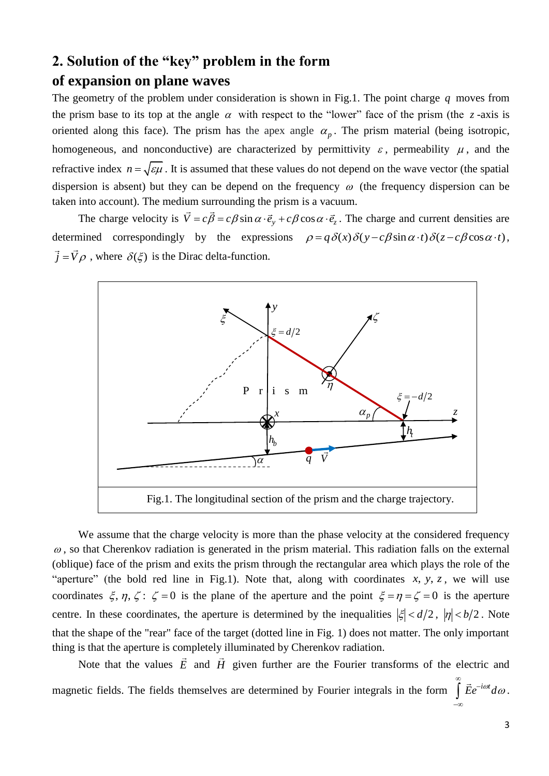#### **2. Solution of the "key" problem in the form**

#### **of expansion on plane waves**

The geometry of the problem under consideration is shown in Fig.1. The point charge *q* moves from the prism base to its top at the angle  $\alpha$  with respect to the "lower" face of the prism (the  $\zeta$ -axis is oriented along this face). The prism has the apex angle  $\alpha_p$ . The prism material (being isotropic, homogeneous, and nonconductive) are characterized by permittivity  $\varepsilon$ , permeability  $\mu$ , and the refractive index  $n = \sqrt{\epsilon \mu}$ . It is assumed that these values do not depend on the wave vector (the spatial dispersion is absent) but they can be depend on the frequency  $\omega$  (the frequency dispersion can be taken into account). The medium surrounding the prism is a vacuum.

The charge velocity is  $\vec{V} = c\vec{\beta} = c\beta \sin \alpha \cdot \vec{e}_y + c\beta \cos \alpha \cdot \vec{e}_z$ . The charge and current densities are correspondingly by the expressions  $\rho = q\delta(x)\delta(y - c\beta \sin \alpha \cdot t)\delta(z - c\beta \cos \alpha \cdot t)$ , determined correspondingly by the expressions  $\rho = q \delta(x) \delta(y - c \beta \sin \alpha \cdot t) \delta(z - c \beta \cos \alpha \cdot t)$ ,  $\vec{j} = \vec{V}\rho$ , where  $\delta(\xi)$  is the Dirac delta-function.



We assume that the charge velocity is more than the phase velocity at the considered frequency  $\omega$ , so that Cherenkov radiation is generated in the prism material. This radiation falls on the external (oblique) face of the prism and exits the prism through the rectangular area which plays the role of the "aperture" (the bold red line in Fig.1). Note that, along with coordinates  $x, y, z$ , we will use coordinates  $\xi$ ,  $\eta$ ,  $\zeta$ :  $\zeta = 0$  is the plane of the aperture and the point  $\xi = \eta = \zeta = 0$  is the aperture centre. In these coordinates, the aperture is determined by the inequalities  $|\xi| < d/2$ ,  $|\eta| < b/2$ . Note that the shape of the "rear" face of the target (dotted line in Fig. 1) does not matter. The only important thing is that the aperture is completely illuminated by Cherenkov radiation.

Note that the values  $E$  and  $H$  given further are the Fourier transforms of the electric and magnetic fields. The fields themselves are determined by Fourier integrals in the form  $\int \vec{E} e^{-i\omega t} d\omega$  $\infty$  $\int \vec{E} e^{-i\omega t} d\omega$ .

 $-\infty$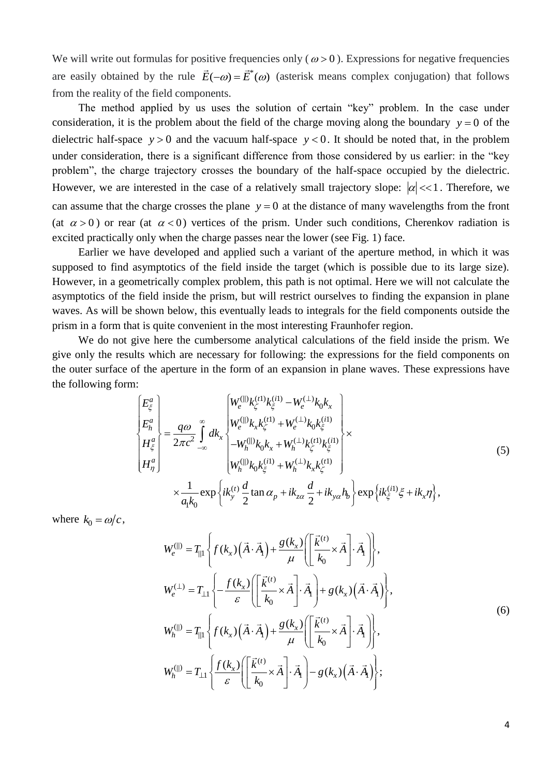We will write out formulas for positive frequencies only ( $\omega$  > 0). Expressions for negative frequencies are easily obtained by the rule  $\vec{E}(-\omega) = \vec{E}^*(\omega)$  (asterisk means complex conjugation) that follows from the reality of the field components.

The method applied by us uses the solution of certain "key" problem. In the case under consideration, it is the problem about the field of the charge moving along the boundary  $y = 0$  of the dielectric half-space  $y > 0$  and the vacuum half-space  $y < 0$ . It should be noted that, in the problem under consideration, there is a significant difference from those considered by us earlier: in the "key problem", the charge trajectory crosses the boundary of the half-space occupied by the dielectric. However, we are interested in the case of a relatively small trajectory slope:  $|\alpha| \ll 1$ . Therefore, we can assume that the charge crosses the plane  $y = 0$  at the distance of many wavelengths from the front (at  $\alpha > 0$ ) or rear (at  $\alpha < 0$ ) vertices of the prism. Under such conditions, Cherenkov radiation is excited practically only when the charge passes near the lower (see Fig. 1) face.

Earlier we have developed and applied such a variant of the aperture method, in which it was supposed to find asymptotics of the field inside the target (which is possible due to its large size). However, in a geometrically complex problem, this path is not optimal. Here we will not calculate the asymptotics of the field inside the prism, but will restrict ourselves to finding the expansion in plane waves. As will be shown below, this eventually leads to integrals for the field components outside the prism in a form that is quite convenient in the most interesting Fraunhofer region.

We do not give here the cumbersome analytical calculations of the field inside the prism. We give only the results which are necessary for following: the expressions for the field components on the outer surface of the aperture in the form of an expansion in plane waves. These expressions have the following form:<br>  $E_{\xi}^{a}$   $\left| W_{e}^{(0)} k_{\zeta}^{(t1)} k_{\xi}^{(i1)} - W_{e}^{(\perp)} k_{0} k_{x} \right|$ the following form: (||)  $k_{\epsilon}^{(t)} k_{\epsilon}^{(i)} - W_{e}^{(\perp)}$  $\begin{bmatrix} W_{e}^{(0)} & k_{e}^{(1)} & k_{e}^{(2)} & k_{e}^{(1)} & k_{e}^{(2)} & k_{e}^{(2)} & k_{e}^{(2)} & k_{e}^{(2)} & k_{e}^{(2)} & k_{e}^{(2)} & k_{e}^{(2)} & k_{e}^{(2)} & k_{e}^{(2)} & k_{e}^{(2)} & k_{e}^{(2)} & k_{e}^{(2)} & k_{e}^{(2)} & k_{e}^{(2)} & k_{e}^{(2)} & k_{e}^{(2)} & k_{e}^{(2)} & k_{e}^{(2)} & k_{e}^{(2)} & k_{e}^{(2$ 

$$
\begin{aligned}\n&\left| E_{\xi}^{a} \right| \\
&\left| E_{h}^{a} \right| \\
&\left| E_{h}^{a} \right| \\
&\left| E_{\eta}^{a} \right| \\
&\left| E_{\eta}^{a} \right| \\
&\left| E_{\eta}^{a} \right| \\
&\left| E_{\eta}^{a} \right| \\
&\left| \frac{q\omega}{2\pi c^{2}} \int_{-\infty}^{\infty} dk_{x} \begin{cases}\nW_{e}^{(1)}k_{\zeta}^{(1)} - W_{e}^{(\perp)}k_{0}k_{x} \\
W_{e}^{(1)}k_{x}k_{\zeta}^{(1)} + W_{e}^{(\perp)}k_{0}k_{\zeta}^{(1)} \\
-W_{h}^{(1)}k_{0}k_{x} + W_{h}^{(\perp)}k_{\zeta}^{(1)}k_{\zeta}^{(1)} \\
W_{h}^{(1)}k_{0}k_{\zeta}^{(1)} + W_{h}^{(\perp)}k_{x}k_{\zeta}^{(1)}\n\end{cases} \times \\
&\times \frac{1}{a_{1}k_{0}} \exp \left\{ ik_{y}^{(t)} \frac{d}{2} \tan \alpha_{p} + ik_{z\alpha} \frac{d}{2} + ik_{y\alpha}h_{b} \right\} \exp \left\{ ik_{\xi}^{(1)} \xi + ik_{x}\eta \right\},\n\end{aligned} \tag{5}
$$

where  $k_0 = \omega/c$ ,

$$
W_{e}^{(||)} = T_{||} \left\{ f(k_{x}) \left( \vec{A} \cdot \vec{A}_{1} \right) + \frac{g(k_{x})}{\mu} \left[ \left[ \frac{\vec{k}^{(t)}}{k_{0}} \times \vec{A} \right] \cdot \vec{A}_{1} \right] \right\},
$$
  
\n
$$
W_{e}^{(\perp)} = T_{\perp 1} \left\{ -\frac{f(k_{x})}{\varepsilon} \left[ \left[ \frac{\vec{k}^{(t)}}{k_{0}} \times \vec{A} \right] \cdot \vec{A}_{1} \right] + g(k_{x}) \left( \vec{A} \cdot \vec{A}_{1} \right) \right\},
$$
  
\n
$$
W_{h}^{(||)} = T_{||1} \left\{ f(k_{x}) \left( \vec{A} \cdot \vec{A}_{1} \right) + \frac{g(k_{x})}{\mu} \left[ \left[ \frac{\vec{k}^{(t)}}{k_{0}} \times \vec{A} \right] \cdot \vec{A}_{1} \right] \right\},
$$
  
\n
$$
W_{h}^{(||)} = T_{\perp 1} \left\{ \frac{f(k_{x})}{\varepsilon} \left[ \left[ \frac{\vec{k}^{(t)}}{k_{0}} \times \vec{A} \right] \cdot \vec{A}_{1} \right] - g(k_{x}) \left( \vec{A} \cdot \vec{A}_{1} \right) \right\};
$$
  
\n(6)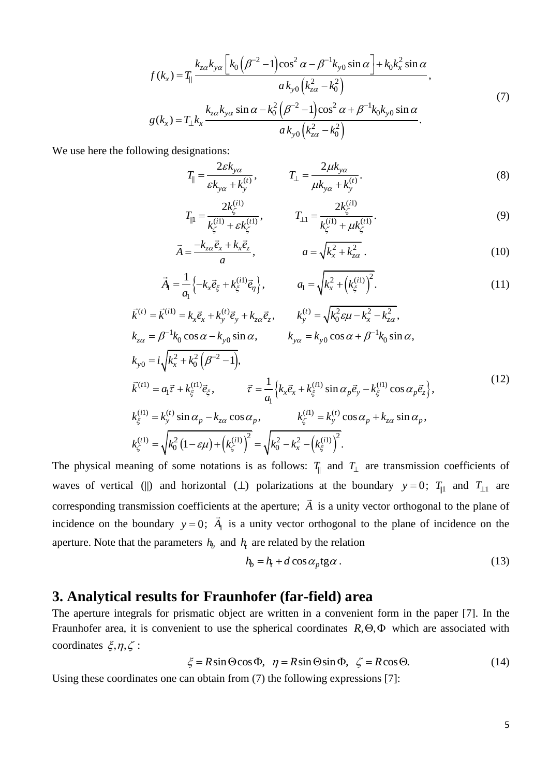$$
f(k_x) = T_{||} \frac{k_{za}k_{ya} \left[ k_0 \left( \beta^{-2} - 1 \right) \cos^2 \alpha - \beta^{-1} k_{y0} \sin \alpha \right] + k_0 k_x^2 \sin \alpha}{a k_{y0} \left( k_{za}^2 - k_0^2 \right)},
$$
  
\n
$$
g(k_x) = T_{\perp} k_x \frac{k_{za}k_{ya} \sin \alpha - k_0^2 \left( \beta^{-2} - 1 \right) \cos^2 \alpha + \beta^{-1} k_0 k_{y0} \sin \alpha}{a k_{y0} \left( k_{za}^2 - k_0^2 \right)}.
$$
\n(7)

We use here the following designations:

$$
T_{\parallel} = \frac{2\varepsilon k_{y\alpha}}{\varepsilon k_{y\alpha} + k_{y}^{(t)}}, \qquad T_{\perp} = \frac{2\mu k_{y\alpha}}{\mu k_{y\alpha} + k_{y}^{(t)}}.
$$
\n(8)

$$
\mathcal{E}K_{y\alpha} + K_{y}^{\alpha} \qquad \qquad \mu K_{y\alpha} + K_{y}^{\alpha}
$$
\n
$$
T_{\parallel 1} = \frac{2k_{\zeta}^{(1)}}{k_{\zeta}^{(1)} + \varepsilon k_{\zeta}^{(1)}}, \qquad \qquad T_{\perp 1} = \frac{2k_{\zeta}^{(1)}}{k_{\zeta}^{(1)} + \mu k_{\zeta}^{(1)}}.
$$
\n
$$
= \frac{-k_{z\alpha}\vec{e}_x + k_x\vec{e}_z}{k_z^{(1)} + \mu k_{\zeta}^{(1)}}.
$$
\n(9)

$$
k_{\zeta}^{(1)} + \varepsilon k_{\zeta}^{(2)}
$$
  
\n
$$
\vec{A} = \frac{-k_{z\alpha}\vec{e}_x + k_x\vec{e}_z}{a}, \qquad a = \sqrt{k_x^2 + k_{z\alpha}^2}.
$$
\n(10)

$$
\vec{A}_1 = \frac{1}{a_1} \left\{ -k_x \vec{e}_{\xi} + k_{\xi}^{(i1)} \vec{e}_{\eta} \right\}, \qquad a_1 = \sqrt{k_x^2 + \left(k_{\xi}^{(i1)}\right)^2}.
$$
\n
$$
= \vec{k}^{(i1)} = k_x \vec{e}_x + k_y^{(t)} \vec{e}_y + k_{z\alpha} \vec{e}_z, \qquad k_y^{(t)} = \sqrt{k_0^2 \varepsilon \mu - k_x^2 - k_{z\alpha}^2},
$$
\n(11)

$$
\vec{A}_1 = \frac{1}{a_1} \left\{ -k_x \vec{e}_{\xi} + k_{\xi}^{(i)} \vec{e}_{\eta} \right\}, \qquad a_1 = \sqrt{k_x^2 + \left( k_{\xi}^{(i)} \right)^2}.
$$
\n
$$
\vec{k}^{(i)} = \vec{k}^{(i)} = k_x \vec{e}_x + k_y^{(i)} \vec{e}_y + k_{z\alpha} \vec{e}_z, \qquad k_y^{(t)} = \sqrt{k_0^2 \varepsilon \mu - k_x^2 - k_{z\alpha}^2},
$$
\n
$$
k_{z\alpha} = \beta^{-1} k_0 \cos \alpha - k_{y0} \sin \alpha, \qquad k_{y\alpha} = k_{y0} \cos \alpha + \beta^{-1} k_0 \sin \alpha,
$$
\n
$$
k_{y0} = i \sqrt{k_x^2 + k_0^2 \left( \beta^{-2} - 1 \right)},
$$
\n
$$
\vec{k}^{(1)} = a_1 \vec{\tau} + k_{\xi}^{(1)} \vec{e}_{\xi}, \qquad \vec{\tau} = \frac{1}{a_1} \left\{ k_x \vec{e}_x + k_{\xi}^{(i)} \sin \alpha_p \vec{e}_y - k_{\xi}^{(i)} \cos \alpha_p \vec{e}_z \right\},
$$
\n
$$
k_{\xi}^{(i)} = k_y^{(t)} \sin \alpha_p - k_{z\alpha} \cos \alpha_p, \qquad k_{\zeta}^{(i)} = k_y^{(t)} \cos \alpha_p + k_{z\alpha} \sin \alpha_p,
$$
\n
$$
k_{\zeta}^{(t)} = \sqrt{k_0^2 \left( 1 - \varepsilon \mu \right) + \left( k_{\zeta}^{(i)} \right)^2} = \sqrt{k_0^2 - k_x^2 - \left( k_{\xi}^{(i)} \right)^2}.
$$
\n(12)

The physical meaning of some notations is as follows:  $T_{\parallel}$  and  $T_{\perp}$  are transmission coefficients of waves of vertical (||) and horizontal ( $\perp$ ) polarizations at the boundary  $y = 0$ ;  $T_{\parallel 1}$  and  $T_{\perp 1}$  are corresponding transmission coefficients at the aperture; *A* is a unity vector orthogonal to the plane of incidence on the boundary  $y = 0$ ;  $A_1$  is a unity vector orthogonal to the plane of incidence on the aperture. Note that the parameters  $h_b$  and  $h_f$  are related by the relation

$$
h_b = h_t + d\cos\alpha_p \text{tg}\alpha \,. \tag{13}
$$

#### **3. Analytical results for Fraunhofer (far-field) area**

The aperture integrals for prismatic object are written in a convenient form in the paper [7]. In the Fraunhofer area, it is convenient to use the spherical coordinates  $R, \Theta, \Phi$  which are associated with coordinates  $\xi, \eta, \zeta$ :  $\xi = R \sin \Theta \cos \Phi$ ,  $\eta = R \sin \Theta \sin \Phi$ ,  $\zeta = R \cos \Theta$ . (14)

$$
\zeta = R\sin\Theta\cos\Phi, \ \ \eta = R\sin\Theta\sin\Phi, \ \ \zeta = R\cos\Theta. \tag{14}
$$

Using these coordinates one can obtain from (7) the following expressions [7]: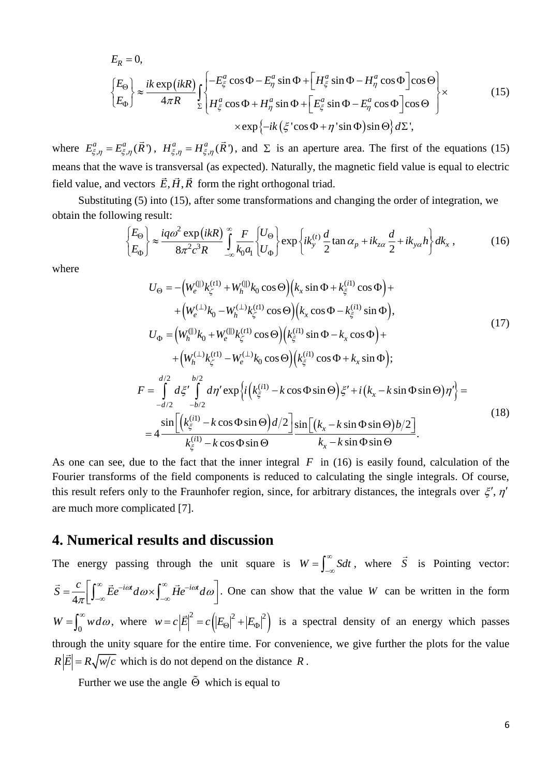$$
E_R = 0,
$$
\n
$$
\begin{cases}\nE_{\Theta} \\
E_{\Phi}\n\end{cases}\n\approx \frac{ik \exp(ikR)}{4\pi R} \int_{\Sigma} \begin{cases}\n-E_{\xi}^a \cos \Phi - E_{\eta}^a \sin \Phi + \left[H_{\xi}^a \sin \Phi - H_{\eta}^a \cos \Phi\right] \cos \Theta \\
H_{\xi}^a \cos \Phi + H_{\eta}^a \sin \Phi + \left[E_{\xi}^a \sin \Phi - E_{\eta}^a \cos \Phi\right] \cos \Theta \\
\times \exp\{-ik(\xi' \cos \Phi + \eta' \sin \Phi)\sin \Theta\} d\Sigma,\n\end{cases}
$$
\n(15)

where  $E_{\xi,\eta}^a = E_{\xi,\eta}^a(\vec{R})$ ,  $H_{\xi,\eta}^a = H_{\xi,\eta}^a(\vec{R})$ , and  $\Sigma$  is an aperture area. The first of the equations (15) means that the wave is transversal (as expected). Naturally, the magnetic field value is equal to electric field value, and vectors  $E, H, R$  form the right orthogonal triad.

Substituting (5) into (15), after some transformations and changing the order of integration, we <br>
i the following result:<br>  $\begin{cases} E_{\Theta} \\ E_{\Phi} \end{cases} \approx \frac{iq\omega^2 \exp(ikR)}{8\pi^2 c^3 R} \int_{-\infty}^{\infty} \frac{F}{k_0 a_1} \begin{cases} U_{\Theta} \\ U_{\Phi} \end{cases} \exp\$ obtain the following result:

$$
\begin{aligned}\n\left\{\n\begin{aligned}\nE_{\Theta} \\
E_{\Phi}\n\end{aligned}\n\right\} &\approx \frac{i q \omega^2 \exp\left(ikR\right)}{8\pi^2 c^3 R} \int_{-\infty}^{\infty} \frac{F}{k_0 a_1} \left\{\nU_{\Theta}\right\} \exp\left\{ik_y^{(t)} \frac{d}{2} \tan \alpha_p + ik_{z\alpha} \frac{d}{2} + ik_{y\alpha} h\right\} dk_x \,,\n\end{aligned} \tag{16}
$$

where

$$
U_{\Theta} = -\left(W_{e}^{(\parallel)}k_{\zeta}^{(t)} + W_{h}^{(\parallel)}k_{0}\cos\Theta\right)\left(k_{x}\sin\Phi + k_{\zeta}^{(i)}\cos\Phi\right) +
$$
  
+
$$
\left(W_{e}^{(\perp)}k_{0} - W_{h}^{(\perp)}k_{\zeta}^{(t)}\cos\Theta\right)\left(k_{x}\cos\Phi - k_{\zeta}^{(i)}\sin\Phi\right),
$$
  

$$
U_{\Phi} = \left(W_{h}^{(\parallel)}k_{0} + W_{e}^{(\parallel)}k_{\zeta}^{(t)}\cos\Theta\right)\left(k_{\zeta}^{(i)}\sin\Phi - k_{x}\cos\Phi\right) +
$$
  
+
$$
\left(W_{h}^{(\perp)}k_{\zeta}^{(t)} - W_{e}^{(\perp)}k_{0}\cos\Theta\right)\left(k_{\zeta}^{(i)}\cos\Phi + k_{x}\sin\Phi\right);
$$
  

$$
F = \int_{-d/2}^{d/2} d\zeta' \int_{-b/2}^{b/2} d\eta' \exp\left\{i\left(k_{\zeta}^{(i)} - k\cos\Phi\sin\Theta\right)\xi' + i\left(k_{x} - k\sin\Phi\sin\Theta\right)\eta'\right\} =
$$
  
=
$$
4 \frac{\sin\left[\left(k_{\zeta}^{(i)} - k\cos\Phi\sin\Theta\right)d/2\right]}{k_{\zeta}^{(i)} - k\cos\Phi\sin\Theta} \frac{\sin\left[(k_{x} - k\sin\Phi\sin\Theta)b/2\right]}{k_{x} - k\sin\Phi\sin\Theta}.
$$
 (18)

As one can see, due to the fact that the inner integral  $F$  in (16) is easily found, calculation of the Fourier transforms of the field components is reduced to calculating the single integrals. Of course, this result refers only to the Fraunhofer region, since, for arbitrary distances, the integrals over  $\xi', \eta'$ are much more complicated [7].

#### **4. Numerical results and discussion**

The energy passing through the unit square is  $W = \int_{-\infty}^{\infty} S dt$  $=\int_{-\infty}^{\infty} S dt$ , where  $\overline{S}$  is Pointing vector:  $\vec{S} = \frac{c}{4\pi} \left[ \int_{-\infty}^{\infty} \vec{E} e^{-i\omega t} d\omega \times \int_{-\infty}^{\infty} \vec{H} e^{-i\omega t} d\omega \right].$  O  $\int_{-\infty}^{\infty} \vec{F} e^{-i\omega t} d\omega \times \int_{-\infty}^{\infty} \vec{H} e^{-i\omega t} d\omega$ Le energy passing unough the unit<br>=  $\frac{c}{4\pi} \left[ \int_{-\infty}^{\infty} \vec{E} e^{-i\omega t} d\omega \times \int_{-\infty}^{\infty} \vec{H} e^{-i\omega t} d\omega \right]$ . One . One can show that the value *W* can be written in the form  $W = \int_0^\infty w d\omega$ , where  $w = c |\vec{E}|^2 = c (|E_\Theta|^2 + |E_\Phi|^2)$  $w = c |\vec{E}|^2 = c ( |E_{\Theta}|^2 + |E_{\Phi}|^2 )$  is a spectral density of an energy which passes through the unity square for the entire time. For convenience, we give further the plots for the value  $R|\vec{E}| = R\sqrt{w/c}$  which is do not depend on the distance R.

Further we use the angle  $\Theta$  which is equal to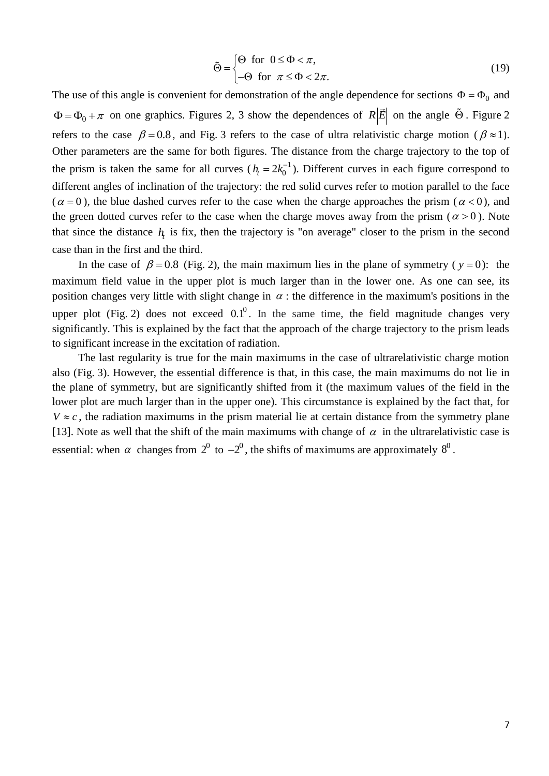$$
\tilde{\Theta} = \begin{cases} \Theta & \text{for } 0 \le \Phi < \pi, \\ -\Theta & \text{for } \pi \le \Phi < 2\pi. \end{cases} \tag{19}
$$

The use of this angle is convenient for demonstration of the angle dependence for sections  $\Phi = \Phi_0$  and  $\Phi = \Phi_0 + \pi$  on one graphics. Figures 2, 3 show the dependences of  $R|\vec{E}|$  on the angle  $\Theta$ . Figure 2 refers to the case  $\beta = 0.8$ , and Fig. 3 refers to the case of ultra relativistic charge motion ( $\beta \approx 1$ ). Other parameters are the same for both figures. The distance from the charge trajectory to the top of the prism is taken the same for all curves ( $h<sub>r</sub> = 2k_0^{-1}$ )  $h<sub>t</sub> = 2k<sub>0</sub><sup>-1</sup>$ . Different curves in each figure correspond to different angles of inclination of the trajectory: the red solid curves refer to motion parallel to the face  $(\alpha = 0)$ , the blue dashed curves refer to the case when the charge approaches the prism  $(\alpha < 0)$ , and the green dotted curves refer to the case when the charge moves away from the prism ( $\alpha > 0$ ). Note that since the distance  $h<sub>i</sub>$  is fix, then the trajectory is "on average" closer to the prism in the second case than in the first and the third.

In the case of  $\beta = 0.8$  (Fig. 2), the main maximum lies in the plane of symmetry ( $y = 0$ ): the maximum field value in the upper plot is much larger than in the lower one. As one can see, its position changes very little with slight change in  $\alpha$ : the difference in the maximum's positions in the upper plot (Fig. 2) does not exceed  $0.1^0$ . In the same time, the field magnitude changes very significantly. This is explained by the fact that the approach of the charge trajectory to the prism leads to significant increase in the excitation of radiation.

The last regularity is true for the main maximums in the case of ultrarelativistic charge motion also (Fig. 3). However, the essential difference is that, in this case, the main maximums do not lie in the plane of symmetry, but are significantly shifted from it (the maximum values of the field in the lower plot are much larger than in the upper one). This circumstance is explained by the fact that, for  $V \approx c$ , the radiation maximums in the prism material lie at certain distance from the symmetry plane [13]. Note as well that the shift of the main maximums with change of  $\alpha$  in the ultrarelativistic case is essential: when  $\alpha$  changes from  $2^0$  to  $-2^0$ , the shifts of maximums are approximately  $8^0$ .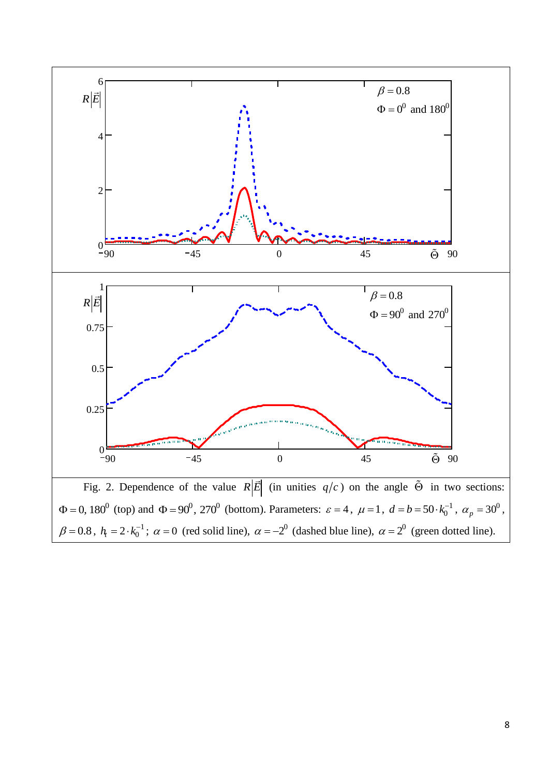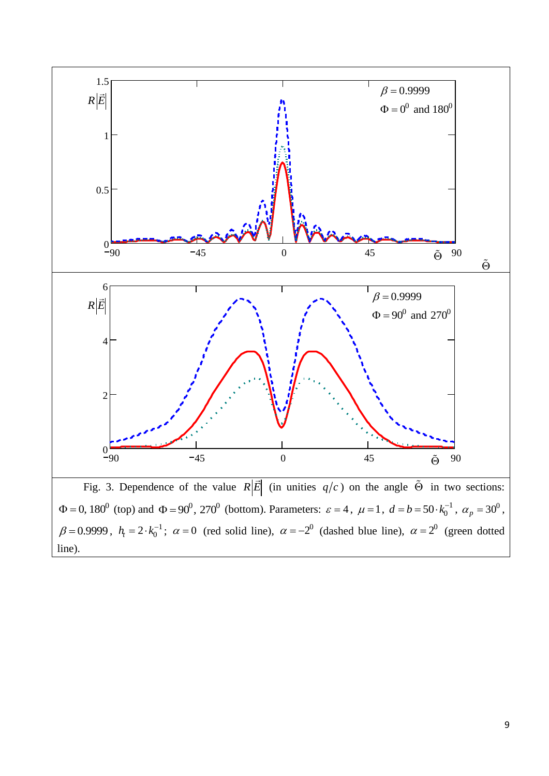